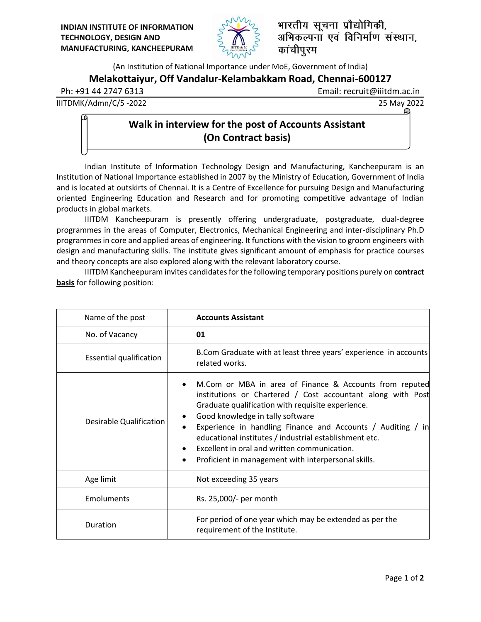

भारतीय सूचना प्रौद्योगिकी,<br>अभिकल्पना एवं विनिर्माण संस्थान, कांचीपुरम

(An Institution of National Importance under MoE, Government of India)

## **Melakottaiyur, Off Vandalur-Kelambakkam Road, Chennai-600127**

Ph: +91 44 2747 6313 Email: recruit@iiitdm.ac.in

IIITDMK/Admn/C/5 -2022 25 May 2022

## **Walk in interview for the post of Accounts Assistant (On Contract basis)**

**Accounts Assistant** 

Indian Institute of Information Technology Design and Manufacturing, Kancheepuram is an Institution of National Importance established in 2007 by the Ministry of Education, Government of India and is located at outskirts of Chennai. It is a Centre of Excellence for pursuing Design and Manufacturing oriented Engineering Education and Research and for promoting competitive advantage of Indian products in global markets.

IIITDM Kancheepuram is presently offering undergraduate, postgraduate, dual-degree programmes in the areas of Computer, Electronics, Mechanical Engineering and inter-disciplinary Ph.D programmes in core and applied areas of engineering. It functions with the vision to groom engineers with design and manufacturing skills. The institute gives significant amount of emphasis for practice courses and theory concepts are also explored along with the relevant laboratory course.

IIITDM Kancheepuram invites candidatesfor the following temporary positions purely on **contract basis** for following position:

| Name of the post               | <b>Accounts Assistant</b>                                                                                                                                                                                                                                                                                                                                                                                                                                    |
|--------------------------------|--------------------------------------------------------------------------------------------------------------------------------------------------------------------------------------------------------------------------------------------------------------------------------------------------------------------------------------------------------------------------------------------------------------------------------------------------------------|
| No. of Vacancy                 | 01                                                                                                                                                                                                                                                                                                                                                                                                                                                           |
| <b>Essential qualification</b> | B. Com Graduate with at least three years' experience in accounts<br>related works.                                                                                                                                                                                                                                                                                                                                                                          |
| Desirable Qualification        | M.Com or MBA in area of Finance & Accounts from reputed<br>$\bullet$<br>institutions or Chartered / Cost accountant along with Post<br>Graduate qualification with requisite experience.<br>Good knowledge in tally software<br>Experience in handling Finance and Accounts / Auditing / in<br>educational institutes / industrial establishment etc.<br>Excellent in oral and written communication.<br>Proficient in management with interpersonal skills. |
| Age limit                      | Not exceeding 35 years                                                                                                                                                                                                                                                                                                                                                                                                                                       |
| Emoluments                     | Rs. 25,000/- per month                                                                                                                                                                                                                                                                                                                                                                                                                                       |
| Duration                       | For period of one year which may be extended as per the<br>requirement of the Institute.                                                                                                                                                                                                                                                                                                                                                                     |